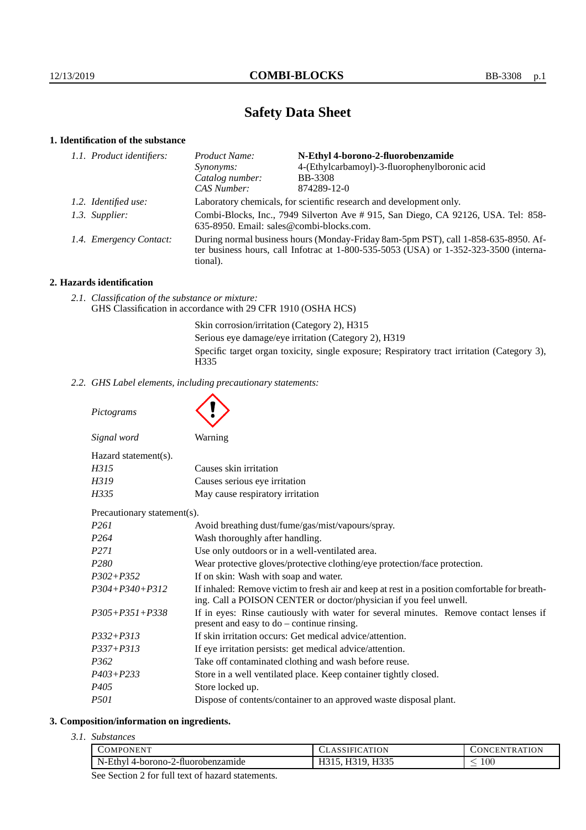# **Safety Data Sheet**

# **1. Identification of the substance**

| 1.1. Product identifiers: | Product Name:                                                                                                                                                                               | N-Ethyl 4-borono-2-fluorobenzamide            |
|---------------------------|---------------------------------------------------------------------------------------------------------------------------------------------------------------------------------------------|-----------------------------------------------|
|                           | Synonyms:                                                                                                                                                                                   | 4-(Ethylcarbamoyl)-3-fluorophenylboronic acid |
|                           | Catalog number:                                                                                                                                                                             | <b>BB-3308</b>                                |
|                           | CAS Number:                                                                                                                                                                                 | 874289-12-0                                   |
| 1.2. Identified use:      | Laboratory chemicals, for scientific research and development only.                                                                                                                         |                                               |
| 1.3. Supplier:            | Combi-Blocks, Inc., 7949 Silverton Ave #915, San Diego, CA 92126, USA. Tel: 858-<br>635-8950. Email: sales@combi-blocks.com.                                                                |                                               |
| 1.4. Emergency Contact:   | During normal business hours (Monday-Friday 8am-5pm PST), call 1-858-635-8950. Af-<br>ter business hours, call Infotrac at $1-800-535-5053$ (USA) or $1-352-323-3500$ (interna-<br>tional). |                                               |

## **2. Hazards identification**

*2.1. Classification of the substance or mixture:* GHS Classification in accordance with 29 CFR 1910 (OSHA HCS)

> Skin corrosion/irritation (Category 2), H315 Serious eye damage/eye irritation (Category 2), H319 Specific target organ toxicity, single exposure; Respiratory tract irritation (Category 3), H335

*2.2. GHS Label elements, including precautionary statements:*

*Pictograms*

| Signal word                 | Warning                                                                    |
|-----------------------------|----------------------------------------------------------------------------|
| Hazard statement(s).        |                                                                            |
| H315                        | Causes skin irritation                                                     |
| H319                        | Causes serious eye irritation                                              |
| H335                        | May cause respiratory irritation                                           |
| Precautionary statement(s). |                                                                            |
| P <sub>261</sub>            | Avoid breathing dust/fume/gas/mist/vapours/spray.                          |
| P <sub>264</sub>            | Wash thoroughly after handling.                                            |
| P <sub>271</sub>            | Use only outdoors or in a well-ventilated area.                            |
| P <sub>280</sub>            | Wear protective gloves/protective clothing/eye protection/face protection. |
| $P302 + P352$               | If on skin: Wash with soap and water.                                      |

| P304+P340+P312 | If inhaled: Remove victim to fresh air and keep at rest in a position comfortable for breath- |
|----------------|-----------------------------------------------------------------------------------------------|
|                | ing. Call a POISON CENTER or doctor/physician if you feel unwell.                             |

| $P305 + P351 + P338$ | If in eyes: Rinse cautiously with water for several minutes. Remove contact lenses if |  |
|----------------------|---------------------------------------------------------------------------------------|--|
|                      | present and easy to do – continue rinsing.                                            |  |

- *P337+P313* If eye irritation persists: get medical advice/attention.
- *P362* Take off contaminated clothing and wash before reuse.
- *P403+P233* Store in a well ventilated place. Keep container tightly closed.
- *P405* Store locked up.
- *P501* Dispose of contents/container to an approved waste disposal plant.

## **3. Composition/information on ingredients.**

*3.1. Substances*

| T<br>7MP0<br>.)NEN'                        | ION<br>$\Delta$ | <b>ATION</b><br>IN.<br>HN. |
|--------------------------------------------|-----------------|----------------------------|
| N-Ethy<br>-2-fluorobenzamide<br>4-borono-2 | TTQCE<br>       | 100<br>_                   |

See Section 2 for full text of hazard statements.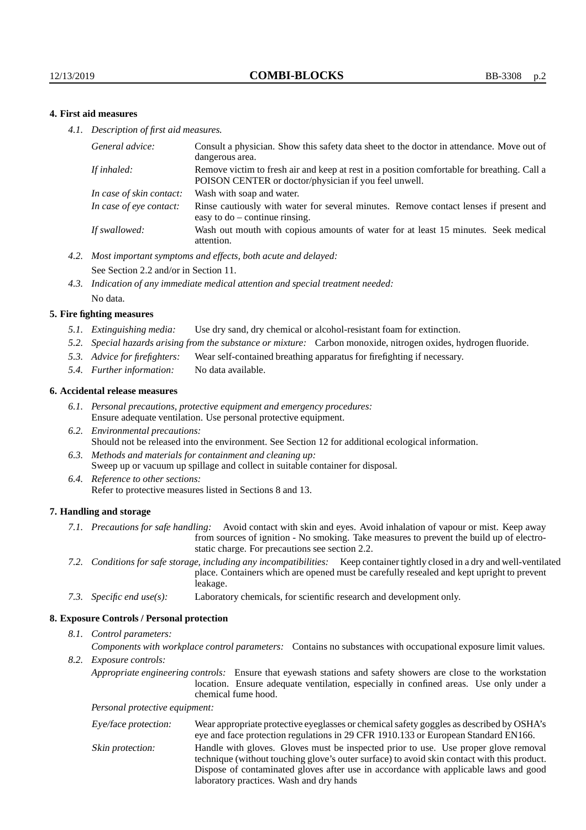## **4. First aid measures**

*4.1. Description of first aid measures.*

| Consult a physician. Show this safety data sheet to the doctor in attendance. Move out of<br>dangerous area.                                         |
|------------------------------------------------------------------------------------------------------------------------------------------------------|
| Remove victim to fresh air and keep at rest in a position comfortable for breathing. Call a<br>POISON CENTER or doctor/physician if you feel unwell. |
| Wash with soap and water.                                                                                                                            |
| Rinse cautiously with water for several minutes. Remove contact lenses if present and<br>easy to $do$ – continue rinsing.                            |
| Wash out mouth with copious amounts of water for at least 15 minutes. Seek medical<br>attention.                                                     |
|                                                                                                                                                      |

- *4.2. Most important symptoms and effects, both acute and delayed:* See Section 2.2 and/or in Section 11.
- *4.3. Indication of any immediate medical attention and special treatment needed:* No data.

#### **5. Fire fighting measures**

- *5.1. Extinguishing media:* Use dry sand, dry chemical or alcohol-resistant foam for extinction.
- *5.2. Special hazards arising from the substance or mixture:* Carbon monoxide, nitrogen oxides, hydrogen fluoride.
- *5.3. Advice for firefighters:* Wear self-contained breathing apparatus for firefighting if necessary.
- *5.4. Further information:* No data available.

#### **6. Accidental release measures**

- *6.1. Personal precautions, protective equipment and emergency procedures:* Ensure adequate ventilation. Use personal protective equipment.
- *6.2. Environmental precautions:* Should not be released into the environment. See Section 12 for additional ecological information.
- *6.3. Methods and materials for containment and cleaning up:* Sweep up or vacuum up spillage and collect in suitable container for disposal.
- *6.4. Reference to other sections:* Refer to protective measures listed in Sections 8 and 13.

#### **7. Handling and storage**

- *7.1. Precautions for safe handling:* Avoid contact with skin and eyes. Avoid inhalation of vapour or mist. Keep away from sources of ignition - No smoking. Take measures to prevent the build up of electrostatic charge. For precautions see section 2.2.
- *7.2. Conditions for safe storage, including any incompatibilities:* Keep container tightly closed in a dry and well-ventilated place. Containers which are opened must be carefully resealed and kept upright to prevent leakage.
- *7.3. Specific end use(s):* Laboratory chemicals, for scientific research and development only.

#### **8. Exposure Controls / Personal protection**

*8.1. Control parameters:*

*Components with workplace control parameters:* Contains no substances with occupational exposure limit values.

*8.2. Exposure controls:*

*Appropriate engineering controls:* Ensure that eyewash stations and safety showers are close to the workstation location. Ensure adequate ventilation, especially in confined areas. Use only under a chemical fume hood.

*Personal protective equipment:*

| Eye/face protection: | Wear appropriate protective eyeglasses or chemical safety goggles as described by OSHA's<br>eye and face protection regulations in 29 CFR 1910.133 or European Standard EN166.                                                                                                                                         |
|----------------------|------------------------------------------------------------------------------------------------------------------------------------------------------------------------------------------------------------------------------------------------------------------------------------------------------------------------|
| Skin protection:     | Handle with gloves. Gloves must be inspected prior to use. Use proper glove removal<br>technique (without touching glove's outer surface) to avoid skin contact with this product.<br>Dispose of contaminated gloves after use in accordance with applicable laws and good<br>laboratory practices. Wash and dry hands |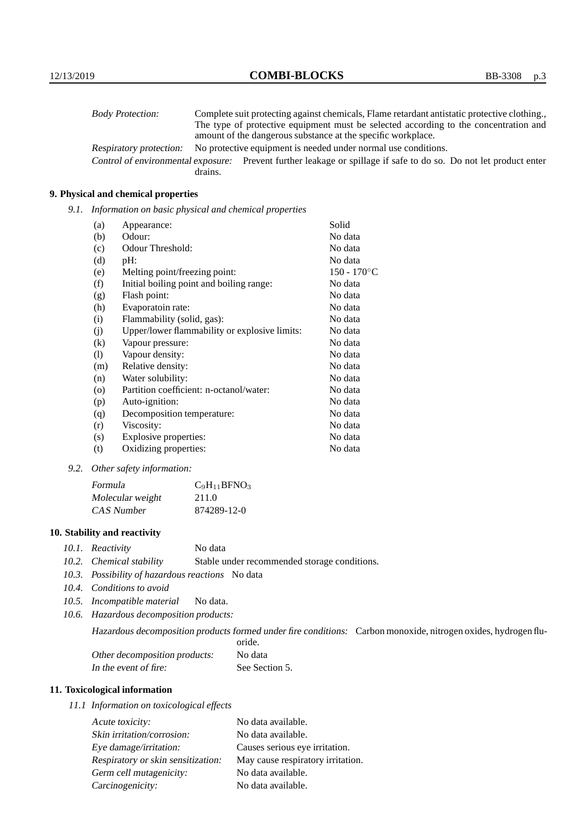| <b>Body Protection:</b> | Complete suit protecting against chemicals, Flame retardant antistatic protective clothing.                       |
|-------------------------|-------------------------------------------------------------------------------------------------------------------|
|                         | The type of protective equipment must be selected according to the concentration and                              |
|                         | amount of the dangerous substance at the specific workplace.                                                      |
| Respiratory protection: | No protective equipment is needed under normal use conditions.                                                    |
|                         | Control of environmental exposure: Prevent further leakage or spillage if safe to do so. Do not let product enter |
|                         | drains.                                                                                                           |

## **9. Physical and chemical properties**

*9.1. Information on basic physical and chemical properties*

| (a)                        | Appearance:                                   | Solid          |
|----------------------------|-----------------------------------------------|----------------|
| (b)                        | Odour:                                        | No data        |
| (c)                        | Odour Threshold:                              | No data        |
| (d)                        | pH:                                           | No data        |
| (e)                        | Melting point/freezing point:                 | $150 - 170$ °C |
| (f)                        | Initial boiling point and boiling range:      | No data        |
| (g)                        | Flash point:                                  | No data        |
| (h)                        | Evaporatoin rate:                             | No data        |
| (i)                        | Flammability (solid, gas):                    | No data        |
| (j)                        | Upper/lower flammability or explosive limits: | No data        |
| $\left( k\right)$          | Vapour pressure:                              | No data        |
| $\left( \mathrm{l}\right)$ | Vapour density:                               | No data        |
| (m)                        | Relative density:                             | No data        |
| (n)                        | Water solubility:                             | No data        |
| $\circ$                    | Partition coefficient: n-octanol/water:       | No data        |
| (p)                        | Auto-ignition:                                | No data        |
| (q)                        | Decomposition temperature:                    | No data        |
| (r)                        | Viscosity:                                    | No data        |
| (s)                        | Explosive properties:                         | No data        |
| (t)                        | Oxidizing properties:                         | No data        |

*9.2. Other safety information:*

| Formula          | $C_9H_{11}BFNO_3$ |
|------------------|-------------------|
| Molecular weight | 211.0             |
| CAS Number       | 874289-12-0       |

## **10. Stability and reactivity**

- *10.1. Reactivity* No data
- *10.2. Chemical stability* Stable under recommended storage conditions.
- *10.3. Possibility of hazardous reactions* No data
- *10.4. Conditions to avoid*
- *10.5. Incompatible material* No data.
- *10.6. Hazardous decomposition products:*

Hazardous decomposition products formed under fire conditions: Carbon monoxide, nitrogen oxides, hydrogen fluoride.

| Other decomposition products: | No data        |
|-------------------------------|----------------|
| In the event of fire:         | See Section 5. |

## **11. Toxicological information**

*11.1 Information on toxicological effects*

| Acute toxicity:                    | No data available.                |
|------------------------------------|-----------------------------------|
| Skin irritation/corrosion:         | No data available.                |
| Eye damage/irritation:             | Causes serious eye irritation.    |
| Respiratory or skin sensitization: | May cause respiratory irritation. |
| Germ cell mutagenicity:            | No data available.                |
| Carcinogenicity:                   | No data available.                |